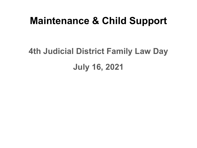## **Maintenance & Child Support**

# **4th Judicial District Family Law Day July 16, 2021**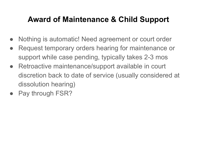#### **Award of Maintenance & Child Support**

- Nothing is automatic! Need agreement or court order
- Request temporary orders hearing for maintenance or support while case pending, typically takes 2-3 mos
- Retroactive maintenance/support available in court discretion back to date of service (usually considered at dissolution hearing)
- Pay through FSR?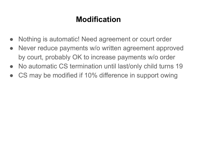## **Modification**

- Nothing is automatic! Need agreement or court order
- Never reduce payments w/o written agreement approved by court, probably OK to increase payments w/o order
- No automatic CS termination until last/only child turns 19
- CS may be modified if 10% difference in support owing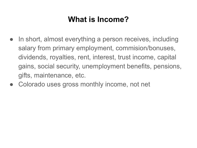## **What is Income?**

- In short, almost everything a person receives, including salary from primary employment, commision/bonuses, dividends, royalties, rent, interest, trust income, capital gains, social security, unemployment benefits, pensions, gifts, maintenance, etc.
- Colorado uses gross monthly income, not net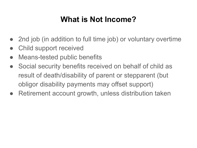## **What is Not Income?**

- 2nd job (in addition to full time job) or voluntary overtime
- Child support received
- Means-tested public benefits
- Social security benefits received on behalf of child as result of death/disability of parent or stepparent (but obligor disability payments may offset support)
- Retirement account growth, unless distribution taken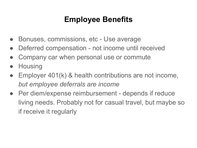## **Employee Benefits**

- Bonuses, commissions, etc Use average
- Deferred compensation not income until received
- Company car when personal use or commute
- **Housing**
- Employer  $401(k)$  & health contributions are not income, *but employee deferrals are income*
- Per diem/expense reimbursement depends if reduce living needs. Probably not for casual travel, but maybe so if receive it regularly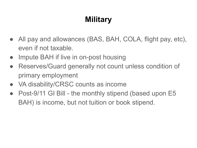## **Military**

- All pay and allowances (BAS, BAH, COLA, flight pay, etc), even if not taxable.
- Impute BAH if live in on-post housing
- Reserves/Guard generally not count unless condition of primary employment
- VA disability/CRSC counts as income
- Post-9/11 GI Bill the monthly stipend (based upon E5 BAH) is income, but not tuition or book stipend.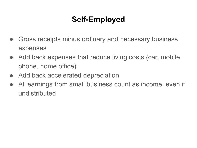## **Self-Employed**

- Gross receipts minus ordinary and necessary business expenses
- Add back expenses that reduce living costs (car, mobile phone, home office)
- Add back accelerated depreciation
- All earnings from small business count as income, even if undistributed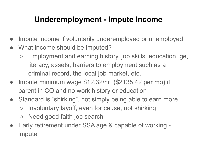## **Underemployment - Impute Income**

- Impute income if voluntarily underemployed or unemployed
- What income should be imputed?
	- Employment and earning history, job skills, education, ge, literacy, assets, barriers to employment such as a criminal record, the local job market, etc.
- Impute minimum wage \$12.32/hr (\$2135.42 per mo) if parent in CO and no work history or education
- Standard is "shirking", not simply being able to earn more ○ Involuntary layoff, even for cause, not shirking
	- Need good faith job search
- Early retirement under SSA age & capable of working impute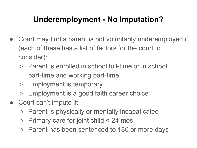## **Underemployment - No Imputation?**

- Court may find a parent is not voluntarily underemployed if (each of these has a list of factors for the court to consider):
	- Parent is enrolled in school full-time or in school part-time and working part-time
	- Employment is temporary
	- Employment is a good faith career choice
- Court can't impute if:
	- Parent is physically or mentally incapaticated
	- Primary care for joint child < 24 mos
	- Parent has been sentenced to 180 or more days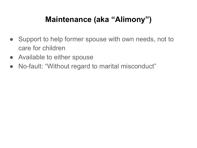## **Maintenance (aka "Alimony")**

- Support to help former spouse with own needs, not to care for children
- Available to either spouse
- No-fault: "Without regard to marital misconduct"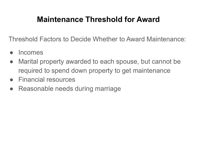## **Maintenance Threshold for Award**

Threshold Factors to Decide Whether to Award Maintenance:

- **Incomes**
- Marital property awarded to each spouse, but cannot be required to spend down property to get maintenance
- Financial resources
- Reasonable needs during marriage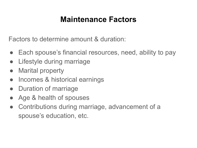#### **Maintenance Factors**

Factors to determine amount & duration:

- Each spouse's financial resources, need, ability to pay
- Lifestyle during marriage
- **Marital property**
- Incomes & historical earnings
- Duration of marriage
- Age & health of spouses
- Contributions during marriage, advancement of a spouse's education, etc.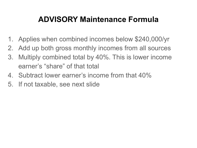## **ADVISORY Maintenance Formula**

- 1. Applies when combined incomes below \$240,000/yr
- 2. Add up both gross monthly incomes from all sources
- 3. Multiply combined total by 40%. This is lower income earner's "share" of that total
- 4. Subtract lower earner's income from that 40%
- 5. If not taxable, see next slide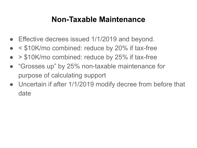#### **Non-Taxable Maintenance**

- Effective decrees issued 1/1/2019 and beyond.
- $\leq$  \$10K/mo combined: reduce by 20% if tax-free
- > \$10K/mo combined: reduce by 25% if tax-free
- "Grosses up" by 25% non-taxable maintenance for purpose of calculating support
- Uncertain if after 1/1/2019 modify decree from before that date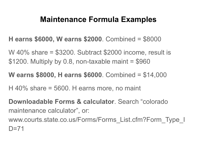#### **Maintenance Formula Examples**

- **H earns \$6000, W earns \$2000**. Combined = \$8000
- W 40% share = \$3200. Subtract \$2000 income, result is  $$1200.$  Multiply by 0.8, non-taxable maint =  $$960$
- **W earns \$8000, H earns \$6000**. Combined = \$14,000
- $H$  40% share = 5600. H earns more, no maint
- **Downloadable Forms & calculator**. Search "colorado maintenance calculator", or:
- www.courts.state.co.us/Forms/Forms\_List.cfm?Form\_Type\_I  $D=71$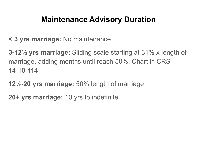#### **Maintenance Advisory Duration**

**< 3 yrs marriage:** No maintenance

**3-12½ yrs marriage**: Sliding scale starting at 31% x length of marriage, adding months until reach 50%. Chart in CRS 14-10-114

- **12½-20 yrs marriage:** 50% length of marriage
- **20+ yrs marriage:** 10 yrs to indefinite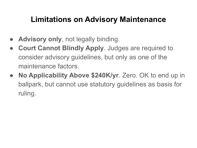## **Limitations on Advisory Maintenance**

- Advisory only, not legally binding.
- **Court Cannot Blindly Apply.** Judges are required to consider advisory guidelines, but only as one of the maintenance factors.
- **No Applicability Above \$240K/yr**. Zero. OK to end up in ballpark, but cannot use statutory guidelines as basis for ruling.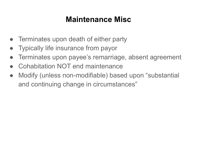## **Maintenance Misc**

- Terminates upon death of either party
- **Typically life insurance from payor**
- Terminates upon payee's remarriage, absent agreement
- Cohabitation NOT end maintenance
- Modify (unless non-modifiable) based upon "substantial and continuing change in circumstances"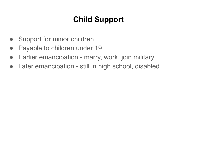## **Child Support**

- Support for minor children
- Payable to children under 19
- Earlier emancipation marry, work, join military
- Later emancipation still in high school, disabled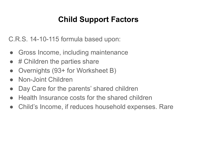## **Child Support Factors**

C.R.S. 14-10-115 formula based upon:

- Gross Income, including maintenance
- $#$  Children the parties share
- Overnights (93+ for Worksheet B)
- **Non-Joint Children**
- Day Care for the parents' shared children
- Health Insurance costs for the shared children
- Child's Income, if reduces household expenses. Rare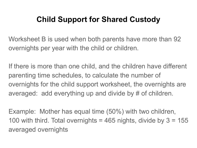## **Child Support for Shared Custody**

Worksheet B is used when both parents have more than 92 overnights per year with the child or children.

If there is more than one child, and the children have different parenting time schedules, to calculate the number of overnights for the child support worksheet, the overnights are averaged: add everything up and divide by # of children.

Example: Mother has equal time (50%) with two children, 100 with third. Total overnights  $=$  465 nights, divide by  $3 = 155$ averaged overnights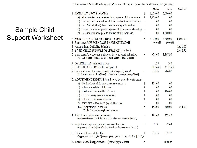This Worksheet is for 2 children living most of the time with: Mother. Ovemight time with Father: 140 (38.356%)

|                                                                                                                                                   |                                                                                 | Mother                                                                                 | Father   | Combined |
|---------------------------------------------------------------------------------------------------------------------------------------------------|---------------------------------------------------------------------------------|----------------------------------------------------------------------------------------|----------|----------|
| 1. MONTHLY GROSS INCOME                                                                                                                           | S                                                                               | 2,000.00                                                                               | 6,000.00 |          |
| a) Plus maintenance received from spouse of this marriage                                                                                         | $^{+}$                                                                          | 1,200.00                                                                               | .00.     |          |
| b) Less support ordered for children not of this relationship                                                                                     | ٠                                                                               | .00                                                                                    | .00      |          |
| c) Less Sec. $(6)(b)(I)$ deduction for non-joint children                                                                                         | ۳                                                                               | .00                                                                                    | .00      |          |
| d) Less maintenance paid to spouse of different relationship                                                                                      |                                                                                 | .00                                                                                    | .00      |          |
| e) Less maintenance paid to spouse of this marriage                                                                                               |                                                                                 | .00                                                                                    | 1,200.00 |          |
| 2. MONTHLY ADJUSTED GROSS INCOME                                                                                                                  | $=$                                                                             | 3,200.00                                                                               | 4,800.00 | 8,000.00 |
| 3. Each parent's PERCENTAGE SHARE OF INCOME                                                                                                       |                                                                                 | 40.00%                                                                                 | 60.00%   |          |
| 4. Amount from Guideline Schedule                                                                                                                 |                                                                                 |                                                                                        |          | 1,631.00 |
| 5. BASIC CHILD SUPPORT OBLIGATION (1.5 x line 4)                                                                                                  |                                                                                 |                                                                                        |          | 2,446.50 |
| 6. Each parent's proportional share of basic support obligation<br>(% Share of income of each [line 3] x Basic support obligation [line 5])       | =                                                                               | 978.60                                                                                 | 1,467.90 |          |
|                                                                                                                                                   |                                                                                 | 225                                                                                    | 140      |          |
| 8. PERCENTAGE TIME with each parent                                                                                                               |                                                                                 | 61.644%                                                                                | 38.356%  |          |
| 9. Portion of own share owed to other (overnights adjustment)<br>(Each parent's support share [line 6] x Other parent's time percentage [line 8]) | Ξ                                                                               | 375.35                                                                                 | 904.87   |          |
| 10. ADJUSTMENT EXPENSES paid (or to be paid) by each parent                                                                                       |                                                                                 |                                                                                        |          |          |
| a) Work related child care (Before tax credit: 200 / 0)                                                                                           | S                                                                               | 154.00                                                                                 | .00      |          |
| b) Education related child care                                                                                                                   | $^{+}$                                                                          | .00                                                                                    | .00      |          |
| c) Health insurance (children's share)                                                                                                            | $\overline{+}$                                                                  | .00                                                                                    | 300.00   |          |
| d) Extraordinary medical expenses                                                                                                                 | $\boldsymbol{+}$                                                                | .00                                                                                    | .00      |          |
| e) Other extraordinary expenses                                                                                                                   | $^{+}$                                                                          | .00                                                                                    | .00      |          |
|                                                                                                                                                   | ä,                                                                              | .00                                                                                    | .00      |          |
| Total Adjustment Expenses<br>(Total of Line 10(a) through Line 10(f) above)                                                                       | $=$                                                                             | 154.00                                                                                 | 300.00   | 454.00   |
| 11. Fair share of adjustment expenses<br>(% Share of income of each [line 3] x Total adjustment expenses [line 10])                               | ä,                                                                              | 181.60                                                                                 | 272.40   |          |
| 12. Adjustment expenses paid in excess of fair share<br>(Expenses paid by each [line 10] minus Fair share of such expenses [line 11])             | $=$                                                                             | N/A                                                                                    | 27.60    |          |
| 13. Total owed by each to other                                                                                                                   | S                                                                               | 375.35                                                                                 | 877.27   |          |
| 14. Recommended Support Order (Father pays Mother)                                                                                                | $=$                                                                             |                                                                                        | \$501.92 |          |
|                                                                                                                                                   | 7. OVERNIGHTS with each parent<br>f) Items that reduce need (e.g. child income) | (Support owed to other [line 9] minus expenses paid in excess of fair share [line 12]) |          |          |

#### Sample Child Support Worksheet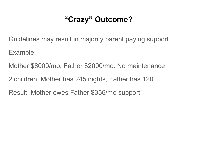## **"Crazy" Outcome?**

Guidelines may result in majority parent paying support.

Example:

Mother \$8000/mo, Father \$2000/mo. No maintenance

2 children, Mother has 245 nights, Father has 120

Result: Mother owes Father \$356/mo support!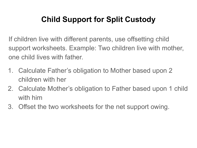## **Child Support for Split Custody**

If children live with different parents, use offsetting child support worksheets. Example: Two children live with mother, one child lives with father.

- 1. Calculate Father's obligation to Mother based upon 2 children with her
- 2. Calculate Mother's obligation to Father based upon 1 child with him
- 3. Offset the two worksheets for the net support owing.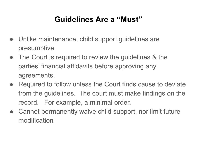## **Guidelines Are a "Must"**

- Unlike maintenance, child support guidelines are presumptive
- The Court is required to review the guidelines & the parties' financial affidavits before approving any agreements.
- Required to follow unless the Court finds cause to deviate from the guidelines. The court must make findings on the record. For example, a minimal order.
- Cannot permanently waive child support, nor limit future modification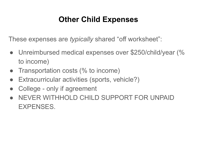## **Other Child Expenses**

These expenses are *typically* shared "off worksheet":

- Unreimbursed medical expenses over \$250/child/year (% to income)
- Transportation costs (% to income)
- Extracurricular activities (sports, vehicle?)
- College only if agreement
- NEVER WITHHOLD CHILD SUPPORT FOR UNPAID EXPENSES.